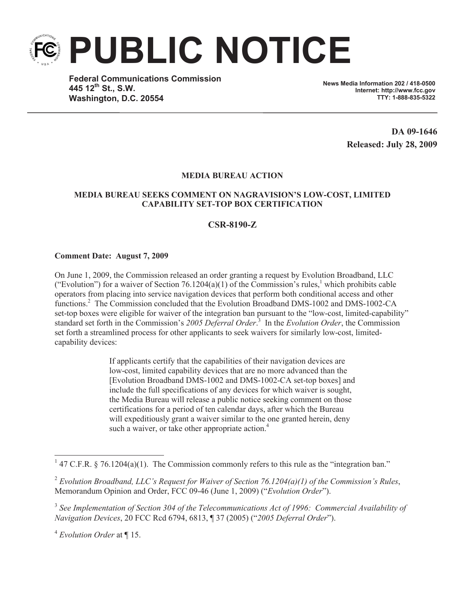**PUBLIC NOTICE**

**Federal Communications Commission 445 12th St., S.W. Washington, D.C. 20554**

**News Media Information 202 / 418-0500 Internet: http://www.fcc.gov TTY: 1-888-835-5322**

> **DA 09-1646 Released: July 28, 2009**

## **MEDIA BUREAU ACTION**

## **MEDIA BUREAU SEEKS COMMENT ON NAGRAVISION'S LOW-COST, LIMITED CAPABILITY SET-TOP BOX CERTIFICATION**

## **CSR-8190-Z**

## **Comment Date: August 7, 2009**

On June 1, 2009, the Commission released an order granting a request by Evolution Broadband, LLC ("Evolution") for a waiver of Section 76.1204(a)(1) of the Commission's rules,<sup>1</sup> which prohibits cable operators from placing into service navigation devices that perform both conditional access and other functions.<sup>2</sup> The Commission concluded that the Evolution Broadband DMS-1002 and DMS-1002-CA set-top boxes were eligible for waiver of the integration ban pursuant to the "low-cost, limited-capability" standard set forth in the Commission's *2005 Deferral Order*. 3 In the *Evolution Order*, the Commission set forth a streamlined process for other applicants to seek waivers for similarly low-cost, limitedcapability devices:

> If applicants certify that the capabilities of their navigation devices are low-cost, limited capability devices that are no more advanced than the [Evolution Broadband DMS-1002 and DMS-1002-CA set-top boxes] and include the full specifications of any devices for which waiver is sought, the Media Bureau will release a public notice seeking comment on those certifications for a period of ten calendar days, after which the Bureau will expeditiously grant a waiver similar to the one granted herein, deny such a waiver, or take other appropriate action.<sup>4</sup>

<sup>4</sup> *Evolution Order* at ¶ 15.

<sup>&</sup>lt;sup>1</sup> 47 C.F.R. § 76.1204(a)(1). The Commission commonly refers to this rule as the "integration ban."

<sup>2</sup> *Evolution Broadband, LLC's Request for Waiver of Section 76.1204(a)(1) of the Commission's Rules*, Memorandum Opinion and Order, FCC 09-46 (June 1, 2009) ("*Evolution Order*").

<sup>3</sup> *See Implementation of Section 304 of the Telecommunications Act of 1996: Commercial Availability of Navigation Devices*, 20 FCC Rcd 6794, 6813, ¶ 37 (2005) ("*2005 Deferral Order*").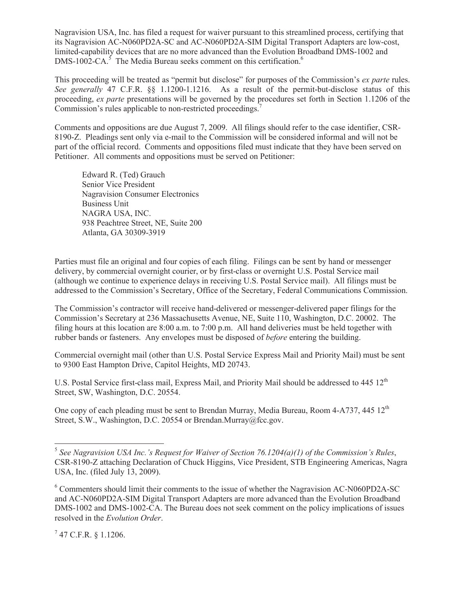Nagravision USA, Inc. has filed a request for waiver pursuant to this streamlined process, certifying that its Nagravision AC-N060PD2A-SC and AC-N060PD2A-SIM Digital Transport Adapters are low-cost, limited-capability devices that are no more advanced than the Evolution Broadband DMS-1002 and  $DMS-1002-CA$ <sup>5</sup>. The Media Bureau seeks comment on this certification.<sup>6</sup>

This proceeding will be treated as "permit but disclose" for purposes of the Commission's *ex parte* rules. *See generally* 47 C.F.R. §§ 1.1200-1.1216. As a result of the permit-but-disclose status of this proceeding, *ex parte* presentations will be governed by the procedures set forth in Section 1.1206 of the Commission's rules applicable to non-restricted proceedings.<sup>7</sup>

Comments and oppositions are due August 7, 2009. All filings should refer to the case identifier, CSR-8190-Z. Pleadings sent only via e-mail to the Commission will be considered informal and will not be part of the official record. Comments and oppositions filed must indicate that they have been served on Petitioner. All comments and oppositions must be served on Petitioner:

Edward R. (Ted) Grauch Senior Vice President Nagravision Consumer Electronics Business Unit NAGRA USA, INC. 938 Peachtree Street, NE, Suite 200 Atlanta, GA 30309-3919

Parties must file an original and four copies of each filing. Filings can be sent by hand or messenger delivery, by commercial overnight courier, or by first-class or overnight U.S. Postal Service mail (although we continue to experience delays in receiving U.S. Postal Service mail). All filings must be addressed to the Commission's Secretary, Office of the Secretary, Federal Communications Commission.

The Commission's contractor will receive hand-delivered or messenger-delivered paper filings for the Commission's Secretary at 236 Massachusetts Avenue, NE, Suite 110, Washington, D.C. 20002. The filing hours at this location are 8:00 a.m. to 7:00 p.m. All hand deliveries must be held together with rubber bands or fasteners. Any envelopes must be disposed of *before* entering the building.

Commercial overnight mail (other than U.S. Postal Service Express Mail and Priority Mail) must be sent to 9300 East Hampton Drive, Capitol Heights, MD 20743.

U.S. Postal Service first-class mail, Express Mail, and Priority Mail should be addressed to  $445\ 12<sup>th</sup>$ Street, SW, Washington, D.C. 20554.

One copy of each pleading must be sent to Brendan Murray, Media Bureau, Room 4-A737, 445 12<sup>th</sup> Street, S.W., Washington, D.C. 20554 or Brendan.Murray@fcc.gov.

 $7$  47 C.F.R. § 1.1206.

<sup>5</sup> *See Nagravision USA Inc.'s Request for Waiver of Section 76.1204(a)(1) of the Commission's Rules*, CSR-8190-Z attaching Declaration of Chuck Higgins, Vice President, STB Engineering Americas, Nagra USA, Inc. (filed July 13, 2009).

<sup>6</sup> Commenters should limit their comments to the issue of whether the Nagravision AC-N060PD2A-SC and AC-N060PD2A-SIM Digital Transport Adapters are more advanced than the Evolution Broadband DMS-1002 and DMS-1002-CA. The Bureau does not seek comment on the policy implications of issues resolved in the *Evolution Order*.